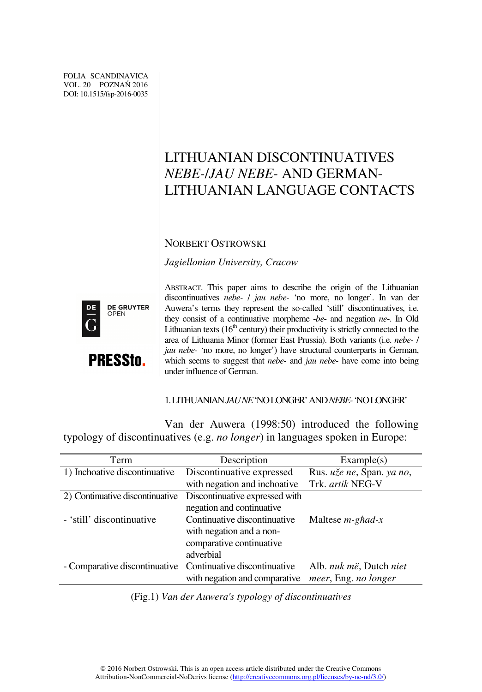FOLIA SCANDINAVICA VOL. 20 POZNAŃ 2016 DOI: 10.1515/fsp-2016-0035

## LITHUANIAN DISCONTINUATIVES *NEBE-*/*JAU NEBE-* AND GERMAN-LITHUANIAN LANGUAGE CONTACTS

## NORBERT OSTROWSKI

*Jagiellonian University, Cracow* 



**PRESStn.** 

ABSTRACT. This paper aims to describe the origin of the Lithuanian discontinuatives *nebe-* / *jau nebe-* 'no more, no longer'. In van der Auwera's terms they represent the so-called 'still' discontinuatives, i.e. they consist of a continuative morpheme -*be*- and negation *ne*-. In Old Lithuanian texts ( $16<sup>th</sup>$  century) their productivity is strictly connected to the area of Lithuania Minor (former East Prussia). Both variants (i.e. *nebe-* / *jau nebe-* 'no more, no longer') have structural counterparts in German, which seems to suggest that *nebe-* and *jau nebe-* have come into being under influence of German.

1. LITHUANIAN *JAU NE* 'NO LONGER' AND *NEBE-* 'NO LONGER'

Van der Auwera (1998:50) introduced the following typology of discontinuatives (e.g. *no longer*) in languages spoken in Europe:

| Term                                                           | Description                   | Example(s)                |  |
|----------------------------------------------------------------|-------------------------------|---------------------------|--|
| 1) Inchoative discontinuative                                  | Discontinuative expressed     | Rus. uže ne, Span. ya no, |  |
|                                                                | with negation and inchoative  | Trk. artik NEG-V          |  |
| 2) Continuative discontinuative Discontinuative expressed with |                               |                           |  |
|                                                                | negation and continuative     |                           |  |
| - 'still' discontinuative                                      | Continuative discontinuative  | Maltese $m$ -ghad-x       |  |
|                                                                | with negation and a non-      |                           |  |
|                                                                | comparative continuative      |                           |  |
|                                                                | adverbial                     |                           |  |
| - Comparative discontinuative Continuative discontinuative     |                               | Alb. nuk më, Dutch niet   |  |
|                                                                | with negation and comparative | meer, Eng. no longer      |  |

(Fig.1) *Van der Auwera's typology of discontinuatives*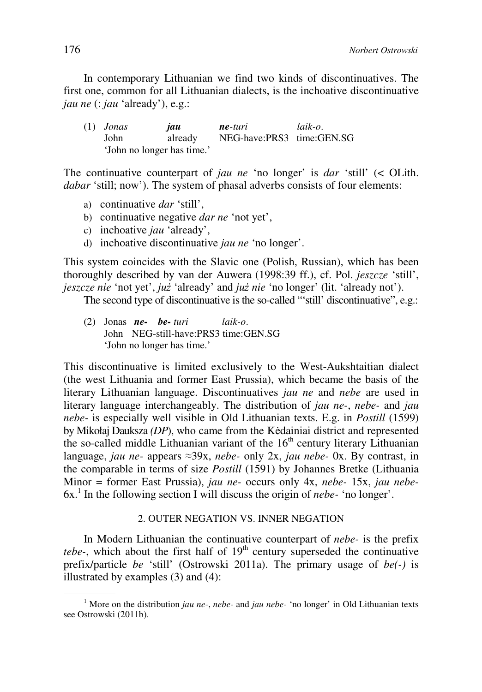In contemporary Lithuanian we find two kinds of discontinuatives. The first one, common for all Lithuanian dialects, is the inchoative discontinuative *jau ne* (: *jau* 'already'), e.g.:

|                            | $(1)$ Jonas | jau     | ne-turi                   | $laik-o.$ |
|----------------------------|-------------|---------|---------------------------|-----------|
|                            | John        | already | NEG-have:PRS3 time:GEN.SG |           |
| 'John no longer has time.' |             |         |                           |           |

The continuative counterpart of *jau ne* 'no longer' is *dar* 'still' (< OLith. *dabar* 'still; now'). The system of phasal adverbs consists of four elements:

- a) continuative *dar* 'still',
- b) continuative negative *dar ne* 'not yet',
- c) inchoative *jau* 'already',
- d) inchoative discontinuative *jau ne* 'no longer'.

This system coincides with the Slavic one (Polish, Russian), which has been thoroughly described by van der Auwera (1998:39 ff.), cf. Pol. *jeszcze* 'still', *jeszcze nie* 'not yet', *ju*ż 'already' and *ju*ż *nie* 'no longer' (lit. 'already not').

The second type of discontinuative is the so-called "'still' discontinuative", e.g.:

(2) Jonas *ne- be- turi laik-o*. John NEG-still-have:PRS3 time:GEN.SG 'John no longer has time.'

This discontinuative is limited exclusively to the West-Aukshtaitian dialect (the west Lithuania and former East Prussia), which became the basis of the literary Lithuanian language. Discontinuatives *jau ne* and *nebe* are used in literary language interchangeably. The distribution of *jau ne-*, *nebe-* and *jau nebe-* is especially well visible in Old Lithuanian texts. E.g. in *Postill* (1599) by Mikołaj Dauksza *(DP*), who came from the Kėdainiai district and represented the so-called middle Lithuanian variant of the  $16<sup>th</sup>$  century literary Lithuanian language, *jau ne-* appears ≈39x, *nebe-* only 2x, *jau nebe-* 0x. By contrast, in the comparable in terms of size *Postill* (1591) by Johannes Bretke (Lithuania Minor = former East Prussia), *jau ne-* occurs only 4x, *nebe-* 15x, *jau nebe-*6x.<sup>1</sup> In the following section I will discuss the origin of *nebe-* 'no longer'.

## 2. OUTER NEGATION VS. INNER NEGATION

In Modern Lithuanian the continuative counterpart of *nebe-* is the prefix *tebe*-, which about the first half of  $19<sup>th</sup>$  century superseded the continuative prefix/particle *be* 'still' (Ostrowski 2011a). The primary usage of *be(-)* is illustrated by examples (3) and (4):

<sup>1</sup> More on the distribution *jau ne-*, *nebe-* and *jau nebe-* 'no longer' in Old Lithuanian texts see Ostrowski (2011b).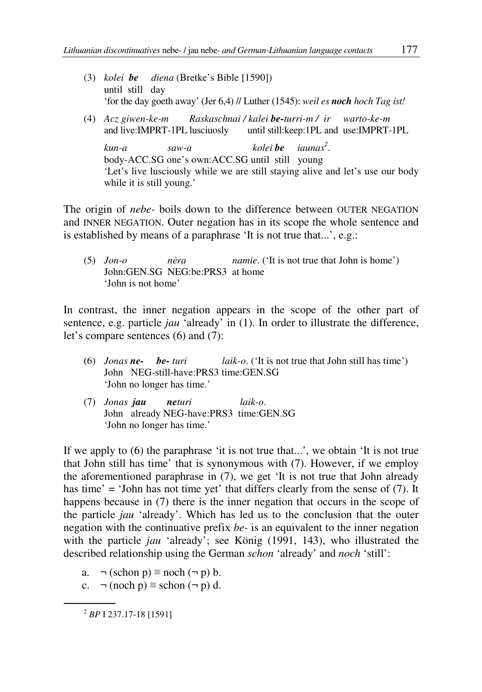- (3) *kolei be diena* (Bretke's Bible [1590]) until still day 'for the day goeth away' (Jer 6,4) // Luther (1545): *weil es noch hoch Tag ist!*
- (4) *Acz giwen-ke-m Raskaschnai / kalei be-turri-m / ir warto-ke-m*  and live:IMPRT-1PL lusciuosly until still:keep:1PL and use:IMPRT-1PL

*kun-a saw-a kolei be iaunas<sup>2</sup>*  $iaunas<sup>2</sup>$ . body-ACC.SG one's own:ACC.SG until still young 'Let's live lusciously while we are still staying alive and let's use our body while it is still young.'

The origin of *nebe-* boils down to the difference between OUTER NEGATION and INNER NEGATION. Outer negation has in its scope the whole sentence and is established by means of a paraphrase 'It is not true that...', e.g.:

(5) *Jon-o n*ė*ra namie*. ('It is not true that John is home') John:GEN.SG NEG:be:PRS3 at home 'John is not home'

In contrast, the inner negation appears in the scope of the other part of sentence, e.g. particle *jau* 'already' in (1). In order to illustrate the difference, let's compare sentences (6) and (7):

- (6) *Jonas ne- be- turi laik-o*. ('It is not true that John still has time') John NEG-still-have:PRS3 time:GEN.SG 'John no longer has time.'
- (7) *Jonas jau neturi laik-o*. John already NEG-have:PRS3 time:GEN.SG 'John no longer has time.'

If we apply to (6) the paraphrase 'it is not true that...', we obtain 'It is not true that John still has time' that is synonymous with (7). However, if we employ the aforementioned paraphrase in (7), we get 'It is not true that John already has time' = 'John has not time yet' that differs clearly from the sense of (7). It happens because in (7) there is the inner negation that occurs in the scope of the particle *jau* 'already'. Which has led us to the conclusion that the outer negation with the continuative prefix *be-* is an equivalent to the inner negation with the particle *jau* 'already'; see König (1991, 143), who illustrated the described relationship using the German *schon* 'already' and *noch* 'still':

- a.  $\neg$  (schon p)  $\equiv$  noch  $(\neg p)$  b.
- c.  $\neg$  (noch p)  $\equiv$  schon  $(\neg p)$  d.

<sup>2</sup> *BP* I 237.17-18 [1591]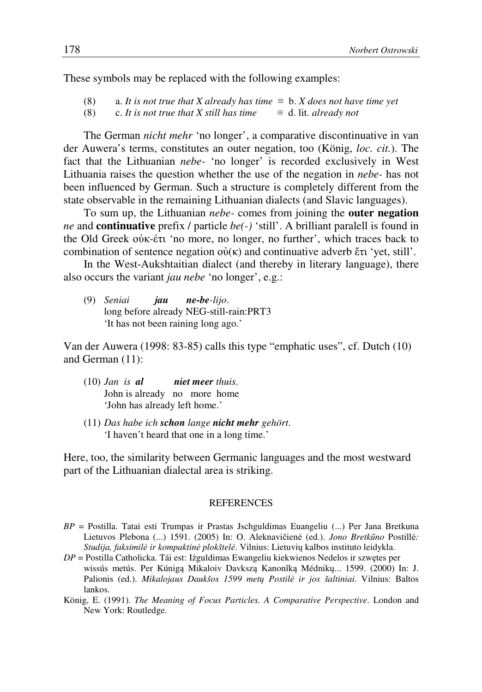These symbols may be replaced with the following examples:

- (8) a. *It is not true that X already has time* ≡ b. *X does not have time yet*
- (8) c. *It is not true that X still has time*  $\equiv$  d. lit. *already not*

The German *nicht mehr* 'no longer', a comparative discontinuative in van der Auwera's terms, constitutes an outer negation, too (König, *loc. cit.*). The fact that the Lithuanian *nebe-* 'no longer' is recorded exclusively in West Lithuania raises the question whether the use of the negation in *nebe-* has not been influenced by German. Such a structure is completely different from the state observable in the remaining Lithuanian dialects (and Slavic languages).

To sum up, the Lithuanian *nebe-* comes from joining the **outer negation** *ne* and **continuative** prefix / particle *be(-)* 'still'. A brilliant paralell is found in the Old Greek οὐκ-έτι 'no more, no longer, no further', which traces back to combination of sentence negation οὐ(κ) and continuative adverb  $\ell \tau$ t 'yet, still'.

In the West-Aukshtaitian dialect (and thereby in literary language), there also occurs the variant *jau nebe* 'no longer', e.g.:

(9) *Seniai jau ne-be-lijo*. long before already NEG-still-rain:PRT3 'It has not been raining long ago.'

Van der Auwera (1998: 83-85) calls this type "emphatic uses", cf. Dutch (10) and German (11):

- (10) *Jan is al niet meer thuis*. John is already no more home 'John has already left home.'
- (11) *Das habe ich schon lange nicht mehr gehört*. 'I haven't heard that one in a long time.'

Here, too, the similarity between Germanic languages and the most westward part of the Lithuanian dialectal area is striking.

## **REFERENCES**

- *BP* = Postilla. Tatai esti Trumpas ir Prastas Jschguldimas Euangeliu (...) Per Jana Bretkuna Lietuvos Plebona (...) 1591. (2005) In: O. Aleknavičienė (ed.). *Jono Bretk*ū*no* Postillė*: Studija, faksimil*ė *ir kompaktin*ė *plokštel*ė. Vilnius: Lietuvių kalbos instituto leidykla.
- *DP* = Postilla Catholicka. Tái est: Iźguldimas Ewangeliu kiekwienos Nedelos ir szwętes per wissús metús. Per Kúnigą Mikaloiv Davkszą Kanonîką Médnikų... 1599. (2000) In: J. Palionis (ed.). *Mikalojaus Daukšos 1599 met*ų *Postil*ė *ir jos šaltiniai*. Vilnius: Baltos lankos.
- König, E. (1991). *The Meaning of Focus Particles. A Comparative Perspective*. London and New York: Routledge.